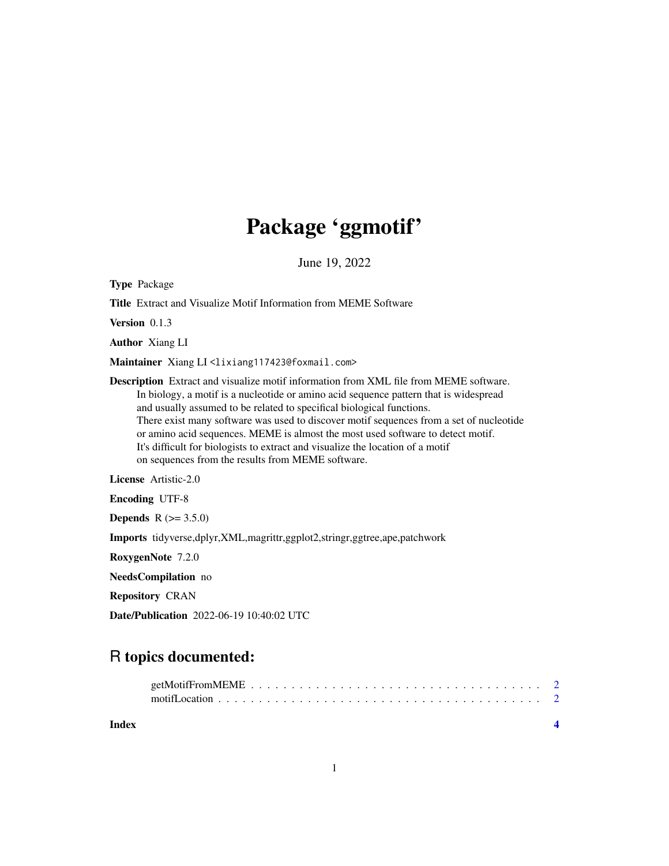## Package 'ggmotif'

June 19, 2022

Type Package Title Extract and Visualize Motif Information from MEME Software Version 0.1.3 Author Xiang LI Maintainer Xiang LI<lixiang117423@foxmail.com> Description Extract and visualize motif information from XML file from MEME software. In biology, a motif is a nucleotide or amino acid sequence pattern that is widespread and usually assumed to be related to specifical biological functions. There exist many software was used to discover motif sequences from a set of nucleotide or amino acid sequences. MEME is almost the most used software to detect motif. It's difficult for biologists to extract and visualize the location of a motif on sequences from the results from MEME software. License Artistic-2.0 Encoding UTF-8 **Depends**  $R (= 3.5.0)$ Imports tidyverse,dplyr,XML,magrittr,ggplot2,stringr,ggtree,ape,patchwork

RoxygenNote 7.2.0

NeedsCompilation no

Repository CRAN

Date/Publication 2022-06-19 10:40:02 UTC

### R topics documented:

**Index** [4](#page-3-0)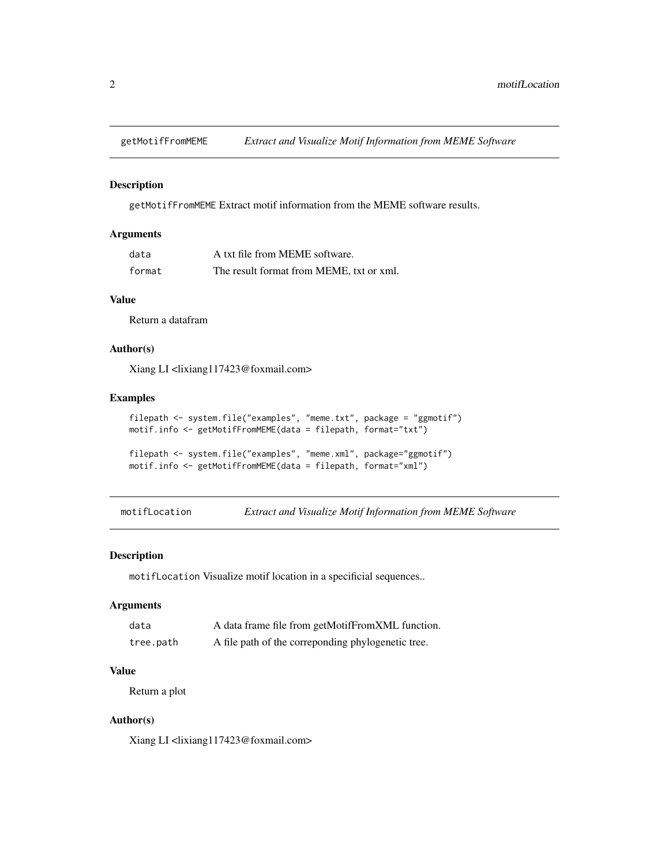<span id="page-1-0"></span>

#### Description

getMotifFromMEME Extract motif information from the MEME software results.

#### Arguments

| data   | A txt file from MEME software.           |
|--------|------------------------------------------|
| format | The result format from MEME, txt or xml. |

#### Value

Return a datafram

#### Author(s)

Xiang LI <lixiang117423@foxmail.com>

#### Examples

```
filepath <- system.file("examples", "meme.txt", package = "ggmotif")
motif.info <- getMotifFromMEME(data = filepath, format="txt")
filepath <- system.file("examples", "meme.xml", package="ggmotif")
```

```
motif.info <- getMotifFromMEME(data = filepath, format="xml")
```
motifLocation *Extract and Visualize Motif Information from MEME Software*

#### Description

motifLocation Visualize motif location in a specificial sequences..

#### Arguments

| data      | A data frame file from getMotifFromXML function.   |
|-----------|----------------------------------------------------|
| tree.path | A file path of the correponding phylogenetic tree. |

#### Value

Return a plot

#### Author(s)

Xiang LI <lixiang117423@foxmail.com>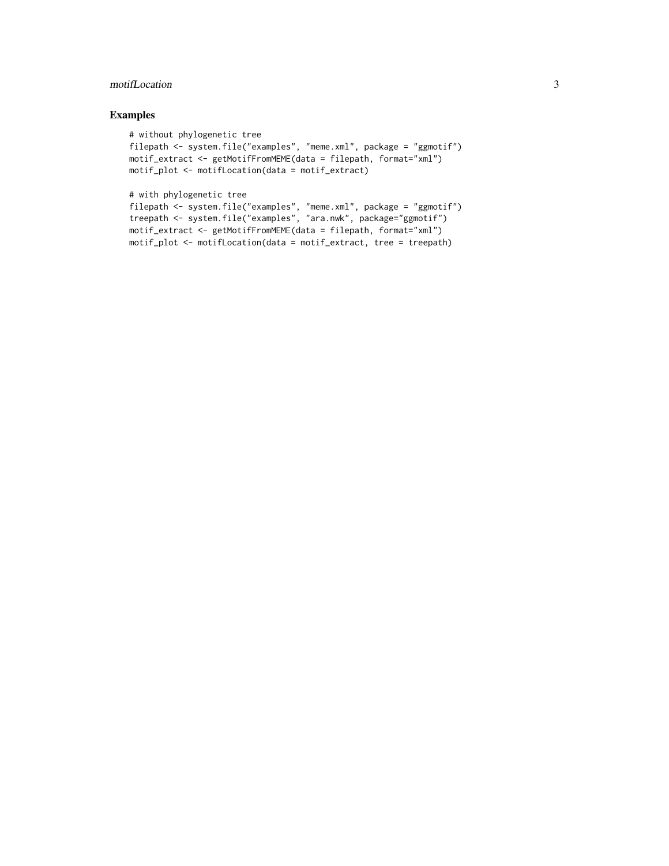#### motifLocation 3

#### Examples

```
# without phylogenetic tree
filepath <- system.file("examples", "meme.xml", package = "ggmotif")
motif_extract <- getMotifFromMEME(data = filepath, format="xml")
motif_plot <- motifLocation(data = motif_extract)
```
# with phylogenetic tree

```
filepath <- system.file("examples", "meme.xml", package = "ggmotif")
treepath <- system.file("examples", "ara.nwk", package="ggmotif")
motif_extract <- getMotifFromMEME(data = filepath, format="xml")
motif_plot <- motifLocation(data = motif_extract, tree = treepath)
```